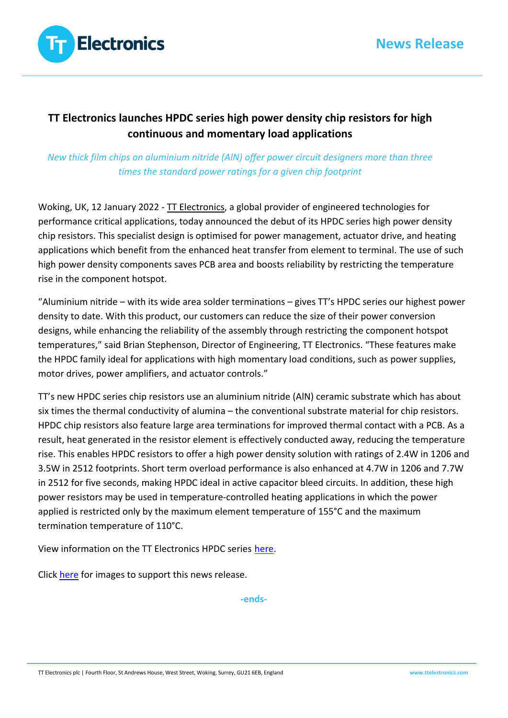

# **TT Electronics launches HPDC series high power density chip resistors for high continuous and momentary load applications**

## *New thick film chips on aluminium nitride (AlN) offer power circuit designers more than three times the standard power ratings for a given chip footprint*

Woking, UK, 12 January 2022 - [TT Electronics,](https://www.ttelectronics.com/) a global provider of engineered technologies for performance critical applications, today announced the debut of its HPDC series high power density chip resistors. This specialist design is optimised for power management, actuator drive, and heating applications which benefit from the enhanced heat transfer from element to terminal. The use of such high power density components saves PCB area and boosts reliability by restricting the temperature rise in the component hotspot.

"Aluminium nitride – with its wide area solder terminations – gives TT's HPDC series our highest power density to date. With this product, our customers can reduce the size of their power conversion designs, while enhancing the reliability of the assembly through restricting the component hotspot temperatures," said Brian Stephenson, Director of Engineering, TT Electronics. "These features make the HPDC family ideal for applications with high momentary load conditions, such as power supplies, motor drives, power amplifiers, and actuator controls."

TT's new HPDC series chip resistors use an aluminium nitride (AlN) ceramic substrate which has about six times the thermal conductivity of alumina – the conventional substrate material for chip resistors. HPDC chip resistors also feature large area terminations for improved thermal contact with a PCB. As a result, heat generated in the resistor element is effectively conducted away, reducing the temperature rise. This enables HPDC resistors to offer a high power density solution with ratings of 2.4W in 1206 and 3.5W in 2512 footprints. Short term overload performance is also enhanced at 4.7W in 1206 and 7.7W in 2512 for five seconds, making HPDC ideal in active capacitor bleed circuits. In addition, these high power resistors may be used in temperature-controlled heating applications in which the power applied is restricted only by the maximum element temperature of 155°C and the maximum termination temperature of 110°C.

View information on the TT Electronics HPDC series [here.](https://www.ttelectronics.com/TTElectronics/media/ProductFiles/Datasheets/HPDC.pdf)

Click [here](https://mpoweredpr2002-my.sharepoint.com/:f:/g/personal/pr_mpoweredpr_com/El1-C52zIM9GhhKF8_BuUbMBzfFjCzxTkg18RoH5SkgQxQ?e=v3AZKO) for images to support this news release.

**-ends-**